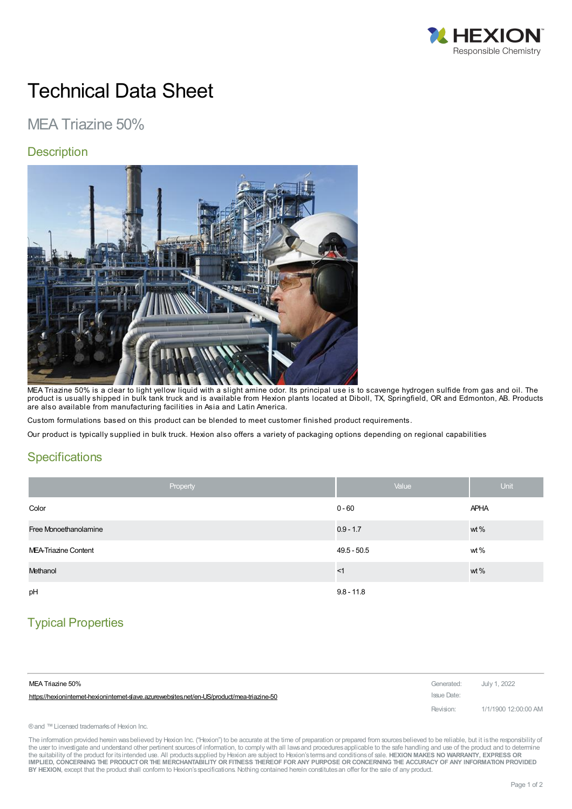

# Technical Data Sheet

## MEA Triazine 50%

#### **Description**



MEA Triazine 50% is a clear to light yellow liquid with a slight amine odor. Its principal use is to scavenge hydrogen sulfide from gas and oil. The product is usually shipped in bulk tank truck and is available from Hexion plants located at Diboll, TX, Springfield, OR and Edmonton, AB. Products are also available from manufacturing facilities in Asia and Latin America.

Custom formulations based on this product can be blended to meet customer finished product requirements.

Our product is typically supplied in bulk truck. Hexion also offers a variety of packaging options depending on regional capabilities

#### **Specifications**

| Property              | Value         | <b>Unit</b> |
|-----------------------|---------------|-------------|
| Color                 | $0 - 60$      | <b>APHA</b> |
| Free Monoethanolamine | $0.9 - 1.7$   | wt %        |
| MEA-Triazine Content  | $49.5 - 50.5$ | wt%         |
| Methanol              | <1            | wt %        |
| pH                    | $9.8 - 11.8$  |             |

### Typical Properties

| MEA Triazine 50%                                                                          | Generated: July 1, 2022 |                      |
|-------------------------------------------------------------------------------------------|-------------------------|----------------------|
| https://hexionintemet-hexionintemet-slave.azurewebsites.net/en-US/product/mea-triazine-50 | Issue Date:             |                      |
|                                                                                           | Revision:               | 1/1/1900 12:00:00 AM |

® and ™ Licensed trademarks of Hexion Inc.

The information provided herein was believed by Hexion Inc. ("Hexion") to be accurate at the time of preparation or prepared from sources believed to be reliable, but it is the responsibility of the user to investigate and understand other pertinent sources of information, to comply with all laws and procedures applicable to the safe handling and use of the product and to determine the suitability of the product for itsintended use. All productssupplied by Hexion are subject to Hexion'stermsand conditionsof sale. **HEXION MAKES NO WARRANTY, EXPRESS OR** IMPLIED, CONCERNING THE PRODUCT OR THE MERCHANTABILITY OR FITNESS THEREOF FOR ANY PURPOSE OR CONCERNING THE ACCURACY OF ANY INFORMATION PROVIDED **BY HEXION**, except that the product shall conform to Hexion'sspecifications. Nothing contained herein constitutesan offer for the sale of any product.